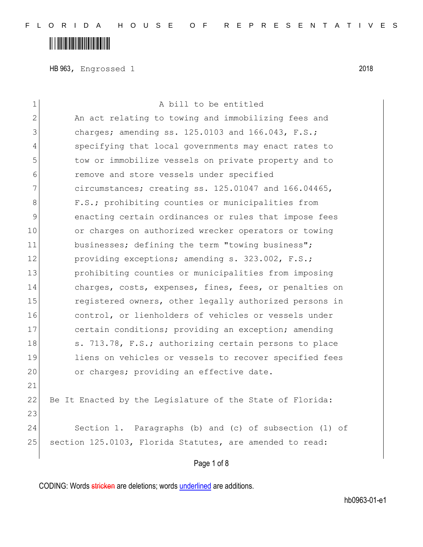HB 963, Engrossed 1 2018

| $\mathbf 1$   | A bill to be entitled                                     |
|---------------|-----------------------------------------------------------|
| $\mathbf{2}$  | An act relating to towing and immobilizing fees and       |
| 3             | charges; amending ss. 125.0103 and 166.043, F.S.;         |
| 4             | specifying that local governments may enact rates to      |
| 5             | tow or immobilize vessels on private property and to      |
| 6             | remove and store vessels under specified                  |
| 7             | circumstances; creating ss. 125.01047 and 166.04465,      |
| 8             | F.S.; prohibiting counties or municipalities from         |
| $\mathcal{G}$ | enacting certain ordinances or rules that impose fees     |
| 10            | or charges on authorized wrecker operators or towing      |
| 11            | businesses; defining the term "towing business";          |
| 12            | providing exceptions; amending s. 323.002, F.S.;          |
| 13            | prohibiting counties or municipalities from imposing      |
| 14            | charges, costs, expenses, fines, fees, or penalties on    |
| 15            | registered owners, other legally authorized persons in    |
| 16            | control, or lienholders of vehicles or vessels under      |
| 17            | certain conditions; providing an exception; amending      |
| 18            | s. 713.78, F.S.; authorizing certain persons to place     |
| 19            | liens on vehicles or vessels to recover specified fees    |
| 20            | or charges; providing an effective date.                  |
| 21            |                                                           |
| 22            | Be It Enacted by the Legislature of the State of Florida: |
| 23            |                                                           |
| 24            | Section 1. Paragraphs (b) and (c) of subsection (1) of    |
| 25            | section 125.0103, Florida Statutes, are amended to read:  |
|               | Page 1 of 8                                               |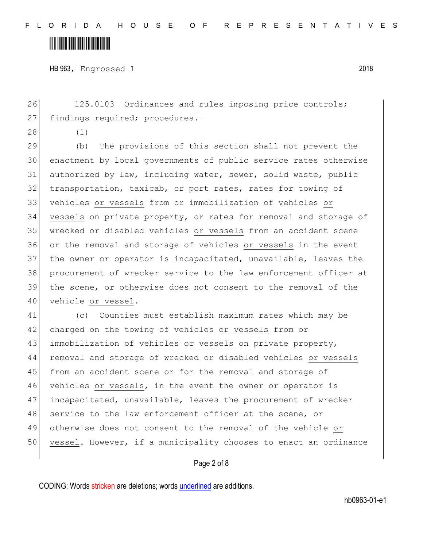HB 963, Engrossed 1 2018

26 125.0103 Ordinances and rules imposing price controls; 27 findings required; procedures.-

28 (1)

 (b) The provisions of this section shall not prevent the enactment by local governments of public service rates otherwise 31 authorized by law, including water, sewer, solid waste, public 32 transportation, taxicab, or port rates, rates for towing of vehicles or vessels from or immobilization of vehicles or vessels on private property, or rates for removal and storage of wrecked or disabled vehicles or vessels from an accident scene or the removal and storage of vehicles or vessels in the event the owner or operator is incapacitated, unavailable, leaves the procurement of wrecker service to the law enforcement officer at the scene, or otherwise does not consent to the removal of the 40 vehicle or vessel.

41 (c) Counties must establish maximum rates which may be 42 charged on the towing of vehicles or vessels from or 43 immobilization of vehicles or vessels on private property, 44 removal and storage of wrecked or disabled vehicles or vessels 45 from an accident scene or for the removal and storage of 46 vehicles or vessels, in the event the owner or operator is 47 incapacitated, unavailable, leaves the procurement of wrecker 48 service to the law enforcement officer at the scene, or 49 otherwise does not consent to the removal of the vehicle or 50 vessel. However, if a municipality chooses to enact an ordinance

#### Page 2 of 8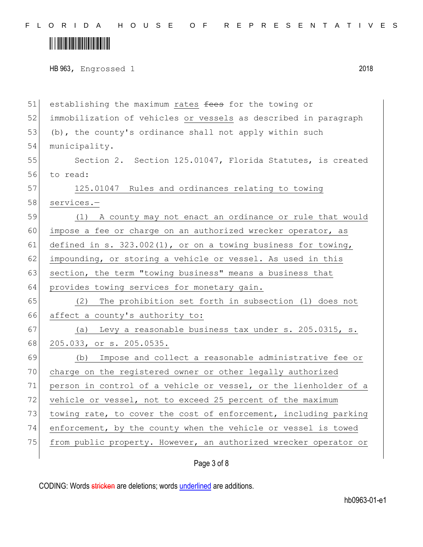F L O R I D A H O U S E O F R E P R E S E N T A T I V E S

# 

HB 963, Engrossed 1 2018

| 51 | establishing the maximum rates fees for the towing or            |
|----|------------------------------------------------------------------|
| 52 | immobilization of vehicles or vessels as described in paragraph  |
| 53 | (b), the county's ordinance shall not apply within such          |
| 54 | municipality.                                                    |
| 55 | Section 2. Section 125.01047, Florida Statutes, is created       |
| 56 | to read:                                                         |
| 57 | 125.01047 Rules and ordinances relating to towing                |
| 58 | services.-                                                       |
| 59 | (1) A county may not enact an ordinance or rule that would       |
| 60 | impose a fee or charge on an authorized wrecker operator, as     |
| 61 | defined in s. $323.002(1)$ , or on a towing business for towing, |
| 62 | impounding, or storing a vehicle or vessel. As used in this      |
| 63 | section, the term "towing business" means a business that        |
| 64 | provides towing services for monetary gain.                      |
| 65 | The prohibition set forth in subsection (1) does not<br>(2)      |
| 66 | affect a county's authority to:                                  |
| 67 | Levy a reasonable business tax under s. 205.0315, s.<br>(a)      |
| 68 | 205.033, or s. 205.0535.                                         |
| 69 | Impose and collect a reasonable administrative fee or<br>(b)     |
| 70 | charge on the registered owner or other legally authorized       |
| 71 | person in control of a vehicle or vessel, or the lienholder of a |
| 72 | vehicle or vessel, not to exceed 25 percent of the maximum       |
| 73 | towing rate, to cover the cost of enforcement, including parking |
| 74 | enforcement, by the county when the vehicle or vessel is towed   |
| 75 | from public property. However, an authorized wrecker operator or |
|    |                                                                  |

Page 3 of 8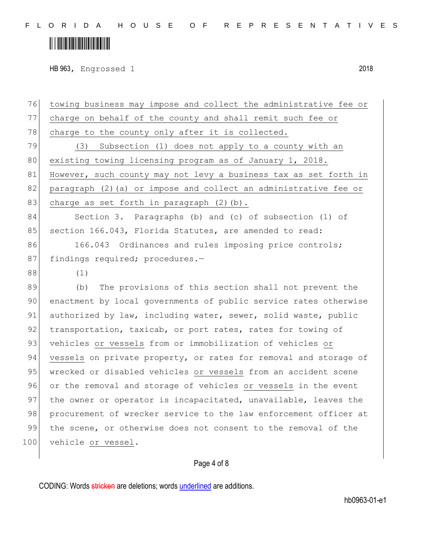F L O R I D A H O U S E O F R E P R E S E N T A T I V E S

## <u> III III III III III III III III II</u>

HB 963, Engrossed 1 2018

76 towing business may impose and collect the administrative fee or 77 charge on behalf of the county and shall remit such fee or 78 charge to the county only after it is collected. 79 (3) Subsection (1) does not apply to a county with an 80 existing towing licensing program as of January 1, 2018. 81 However, such county may not levy a business tax as set forth in 82 paragraph (2) (a) or impose and collect an administrative fee or 83 charge as set forth in paragraph  $(2)$  (b). 84 Section 3. Paragraphs (b) and (c) of subsection (1) of 85 section 166.043, Florida Statutes, are amended to read: 86 166.043 Ordinances and rules imposing price controls; 87 findings required; procedures.-88 (1) 89 (b) The provisions of this section shall not prevent the 90 enactment by local governments of public service rates otherwise 91 authorized by law, including water, sewer, solid waste, public 92 transportation, taxicab, or port rates, rates for towing of 93 vehicles or vessels from or immobilization of vehicles or 94 vessels on private property, or rates for removal and storage of 95 wrecked or disabled vehicles or vessels from an accident scene 96 or the removal and storage of vehicles or vessels in the event 97 the owner or operator is incapacitated, unavailable, leaves the 98 procurement of wrecker service to the law enforcement officer at 99 the scene, or otherwise does not consent to the removal of the 100 vehicle or vessel.

### Page 4 of 8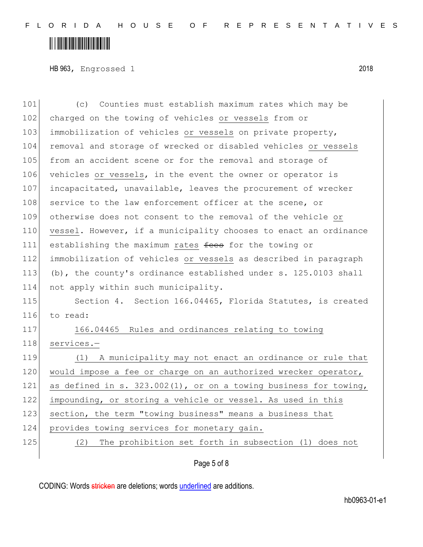HB 963, Engrossed 1 2018

101 (c) Counties must establish maximum rates which may be 102 charged on the towing of vehicles or vessels from or 103 immobilization of vehicles or vessels on private property, 104 removal and storage of wrecked or disabled vehicles or vessels 105 from an accident scene or for the removal and storage of 106 vehicles or vessels, in the event the owner or operator is 107 incapacitated, unavailable, leaves the procurement of wrecker 108 service to the law enforcement officer at the scene, or 109 otherwise does not consent to the removal of the vehicle or 110 vessel. However, if a municipality chooses to enact an ordinance 111 establishing the maximum rates fees for the towing or 112 immobilization of vehicles or vessels as described in paragraph 113 (b), the county's ordinance established under s. 125.0103 shall 114 not apply within such municipality. 115 Section 4. Section 166.04465, Florida Statutes, is created 116 to read: 117 166.04465 Rules and ordinances relating to towing 118 services.-119 (1) A municipality may not enact an ordinance or rule that 120 would impose a fee or charge on an authorized wrecker operator, 121 as defined in s. 323.002(1), or on a towing business for towing, 122 impounding, or storing a vehicle or vessel. As used in this 123 section, the term "towing business" means a business that 124 provides towing services for monetary gain. 125 (2) The prohibition set forth in subsection (1) does not

### Page 5 of 8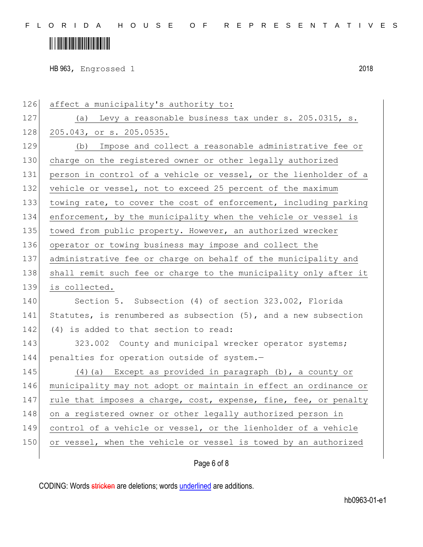# 

HB 963, Engrossed 1 2018

| 126 | affect a municipality's authority to:                            |
|-----|------------------------------------------------------------------|
| 127 | (a) Levy a reasonable business tax under s. 205.0315, s.         |
| 128 | 205.043, or s. 205.0535.                                         |
| 129 | Impose and collect a reasonable administrative fee or<br>(b)     |
| 130 | charge on the registered owner or other legally authorized       |
| 131 | person in control of a vehicle or vessel, or the lienholder of a |
| 132 | vehicle or vessel, not to exceed 25 percent of the maximum       |
| 133 | towing rate, to cover the cost of enforcement, including parking |
| 134 | enforcement, by the municipality when the vehicle or vessel is   |
| 135 | towed from public property. However, an authorized wrecker       |
| 136 | operator or towing business may impose and collect the           |
| 137 | administrative fee or charge on behalf of the municipality and   |
| 138 | shall remit such fee or charge to the municipality only after it |
| 139 | is collected.                                                    |
| 140 | Section 5. Subsection (4) of section 323.002, Florida            |
| 141 | Statutes, is renumbered as subsection (5), and a new subsection  |
| 142 | (4) is added to that section to read:                            |
| 143 | 323.002 County and municipal wrecker operator systems;           |
| 144 | penalties for operation outside of system.-                      |
| 145 | $(4)$ (a) Except as provided in paragraph (b), a county or       |
| 146 | municipality may not adopt or maintain in effect an ordinance or |
| 147 | rule that imposes a charge, cost, expense, fine, fee, or penalty |
| 148 | on a registered owner or other legally authorized person in      |
| 149 | control of a vehicle or vessel, or the lienholder of a vehicle   |
| 150 | or vessel, when the vehicle or vessel is towed by an authorized  |
|     |                                                                  |

Page 6 of 8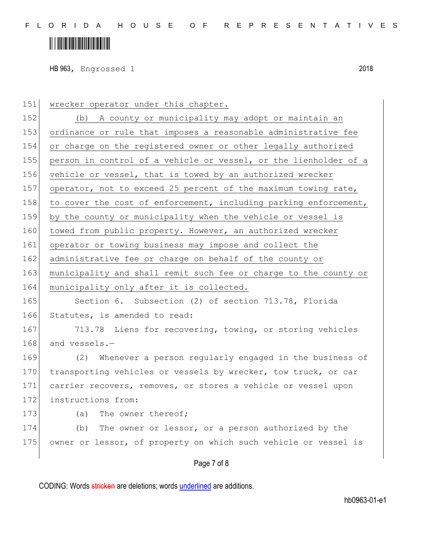HB 963, Engrossed 1 2018

151 | wrecker operator under this chapter. 152 (b) A county or municipality may adopt or maintain an 153 ordinance or rule that imposes a reasonable administrative fee 154 or charge on the registered owner or other legally authorized 155 person in control of a vehicle or vessel, or the lienholder of a 156 vehicle or vessel, that is towed by an authorized wrecker 157 operator, not to exceed 25 percent of the maximum towing rate, 158 to cover the cost of enforcement, including parking enforcement, 159 by the county or municipality when the vehicle or vessel is 160 towed from public property. However, an authorized wrecker 161 operator or towing business may impose and collect the 162 administrative fee or charge on behalf of the county or 163 municipality and shall remit such fee or charge to the county or 164 municipality only after it is collected. 165 Section 6. Subsection (2) of section 713.78, Florida 166 Statutes, is amended to read: 167 713.78 Liens for recovering, towing, or storing vehicles 168 and vessels.-169 (2) Whenever a person regularly engaged in the business of 170 transporting vehicles or vessels by wrecker, tow truck, or car 171 carrier recovers, removes, or stores a vehicle or vessel upon 172 instructions from: 173 (a) The owner thereof; 174 (b) The owner or lessor, or a person authorized by the 175 owner or lessor, of property on which such vehicle or vessel is

#### Page 7 of 8